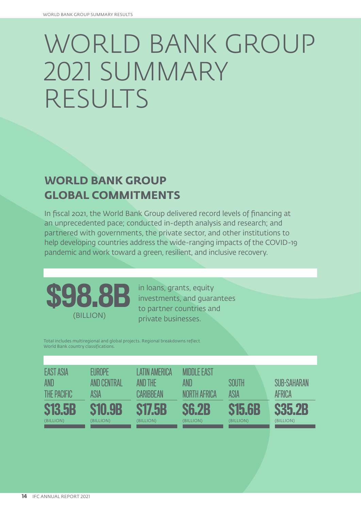# WORLD BANK GROUP 2021 SUMMARY RESULTS

# **WORLD BANK GROUP GLOBAL COMMITMENTS**

In fiscal 2021, the World Bank Group delivered record levels of financing at an unprecedented pace; conducted in-depth analysis and research; and partnered with governments, the private sector, and other institutions to help developing countries address the wide-ranging impacts of the COVID-19 pandemic and work toward a green, resilient, and inclusive recovery.



in loans, grants, equity investments, and guarantees to partner countries and private businesses.

Total includes multiregional and global projects. Regional breakdowns reflect World Bank country classifications.

| <b>EAST ASIA</b><br>AND<br><b>THE PACIFIC</b> | FUROPF<br>AND CENTRAL<br>ASIA | I ATIN AMFRICA<br>AND THE<br><b>CARIBBEAN</b> | <b>MIDDI E FAST</b><br>AND<br>NORTH AFRICA | SOUTH<br>ASIA | <b>SUB-SAHARAN</b><br>AFRICA |
|-----------------------------------------------|-------------------------------|-----------------------------------------------|--------------------------------------------|---------------|------------------------------|
| <b>S13.5B</b>                                 | <b>S10.9B</b>                 | <b>S17.5B</b>                                 | <b>S6.2B</b>                               | <b>S15.6B</b> | <b>S35.2B</b>                |
| (BILLION)                                     | (BILLION)                     | (BILLION)                                     | (BILLION)                                  | (BILLION)     | (BILLION)                    |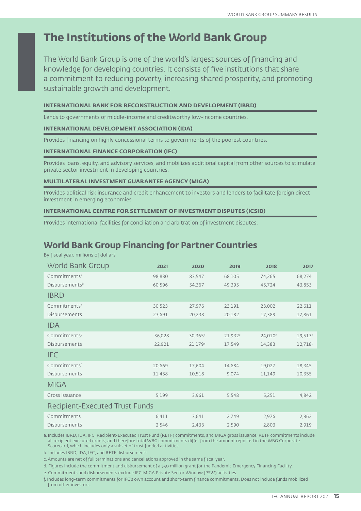# **The Institutions of the World Bank Group**

The World Bank Group is one of the world's largest sources of financing and knowledge for developing countries. It consists of five institutions that share a commitment to reducing poverty, increasing shared prosperity, and promoting sustainable growth and development.

### **INTERNATIONAL BANK FOR RECONSTRUCTION AND DEVELOPMENT (IBRD)**

Lends to governments of middle-income and creditworthy low-income countries.

#### **INTERNATIONAL DEVELOPMENT ASSOCIATION (IDA)**

Provides financing on highly concessional terms to governments of the poorest countries.

### **INTERNATIONAL FINANCE CORPORATION (IFC)**

Provides loans, equity, and advisory services, and mobilizes additional capital from other sources to stimulate private sector investment in developing countries.

#### **MULTILATERAL INVESTMENT GUARANTEE AGENCY (MIGA)**

Provides political risk insurance and credit enhancement to investors and lenders to facilitate foreign direct investment in emerging economies.

### **INTERNATIONAL CENTRE FOR SETTLEMENT OF INVESTMENT DISPUTES (ICSID)**

Provides international facilities for conciliation and arbitration of investment disputes.

## **World Bank Group Financing for Partner Countries**

By fiscal year, millions of dollars

| <b>World Bank Group</b>               | 2021   | 2020                | 2019                | 2018                | 2017                |
|---------------------------------------|--------|---------------------|---------------------|---------------------|---------------------|
| Commitments <sup>a</sup>              | 98,830 | 83,547              | 68,105              | 74,265              | 68,274              |
| Disbursements <sup>b</sup>            | 60,596 | 54,367              | 49,395              | 45,724              | 43,853              |
| <b>IBRD</b>                           |        |                     |                     |                     |                     |
| Commitments <sup>c</sup>              | 30,523 | 27,976              | 23,191              | 23,002              | 22,611              |
| <b>Disbursements</b>                  | 23,691 | 20,238              | 20,182              | 17,389              | 17,861              |
| <b>IDA</b>                            |        |                     |                     |                     |                     |
| Commitments <sup>c</sup>              | 36,028 | 30,365 <sup>e</sup> | 21,932 <sup>e</sup> | 24,010 <sup>e</sup> | 19,513 <sup>d</sup> |
| <b>Disbursements</b>                  | 22,921 | $21,179^e$          | 17,549              | 14,383              | 12,718 <sup>d</sup> |
| <b>IFC</b>                            |        |                     |                     |                     |                     |
| Commitmentsf                          | 20,669 | 17,604              | 14,684              | 19,027              | 18,345              |
| <b>Disbursements</b>                  | 11,438 | 10,518              | 9,074               | 11,149              | 10,355              |
| MIGA                                  |        |                     |                     |                     |                     |
| Gross issuance                        | 5,199  | 3,961               | 5,548               | 5,251               | 4,842               |
| <b>Recipient-Executed Trust Funds</b> |        |                     |                     |                     |                     |
| Commitments                           | 6,411  | 3,641               | 2,749               | 2,976               | 2,962               |
| <b>Disbursements</b>                  | 2,546  | 2,433               | 2,590               | 2,803               | 2,919               |

a. Includes IBRD, IDA, IFC, Recipient-Executed Trust Fund (RETF) commitments, and MIGA gross issuance. RETF commitments include all recipient executed grants, and therefore total WBG commitments differ from the amount reported in the WBG Corporate Scorecard, which includes only a subset of trust funded activities.

b. Includes IBRD, IDA, IFC, and RETF disbursements.

c. Amounts are net of full terminations and cancellations approved in the same fiscal year.

d. Figures include the commitment and disbursement of a \$50 million grant for the Pandemic Emergency Financing Facility.

e. Commitments and disbursements exclude IFC-MIGA Private Sector Window (PSW) activities.

f. Includes long-term commitments for IFC's own account and short-term finance commitments. Does not include funds mobilized from other investors.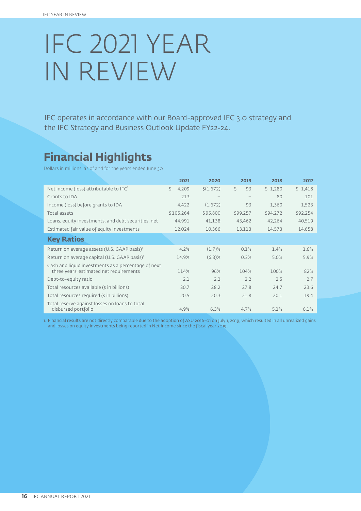# IFC 2021 YEAR IN REVIEW

IFC operates in accordance with our Board-approved IFC 3.0 strategy and the IFC Strategy and Business Outlook Update FY22–24.

# **Financial Highlights**

Dollars in millions, as of and for the years ended June 30

|                                                                       | 2021        | 2020      | 2019              | 2018     | 2017     |
|-----------------------------------------------------------------------|-------------|-----------|-------------------|----------|----------|
| Net income (loss) attributable to IFC'                                | Ŝ.<br>4,209 | \$(1,672) | Ś.<br>93          | \$1,280  | \$1,418  |
| Grants to IDA                                                         | 213         |           | $\qquad \qquad -$ | 80       | 101      |
| Income (loss) before grants to IDA                                    | 4,422       | (1,672)   | 93                | 1,360    | 1,523    |
| Total assets                                                          | \$105,264   | \$95,800  | \$99,257          | \$94,272 | \$92,254 |
| Loans, equity investments, and debt securities, net                   | 44,991      | 41,138    | 43,462            | 42,264   | 40,519   |
| Estimated fair value of equity investments                            | 12,024      | 10,366    | 13,113            | 14,573   | 14,658   |
| <b>Key Ratios</b>                                                     |             |           |                   |          |          |
| Return on average assets (U.S. GAAP basis) <sup>1</sup>               | 4.2%        | $(1.7)$ % | 0.1%              | 1.4%     | 1.6%     |
| Return on average capital (U.S. GAAP basis) <sup>1</sup>              | 14.9%       | $(6.3)$ % | 0.3%              | 5.0%     | 5.9%     |
| Cash and liquid investments as a percentage of next                   |             |           |                   |          |          |
| three years' estimated net requirements                               | 114%        | 96%       | 104%              | 100%     | 82%      |
| Debt-to-equity ratio                                                  | 2.1         | 2.2       | 2.2               | 2.5      | 2.7      |
| Total resources available (\$ in billions)                            | 30.7        | 28.2      | 27.8              | 24.7     | 23.6     |
| Total resources required (\$ in billions)                             | 20.5        | 20.3      | 21.8              | 20.1     | 19.4     |
| Total reserve against losses on loans to total<br>disbursed portfolio | 4.9%        | 6.3%      | 4.7%              | 5.1%     | 6.1%     |

1. Financial results are not directly comparable due to the adoption of ASU 2016-01 on July 1, 2019, which resulted in all unrealized gains and losses on equity investments being reported in Net Income since the fiscal year 2019.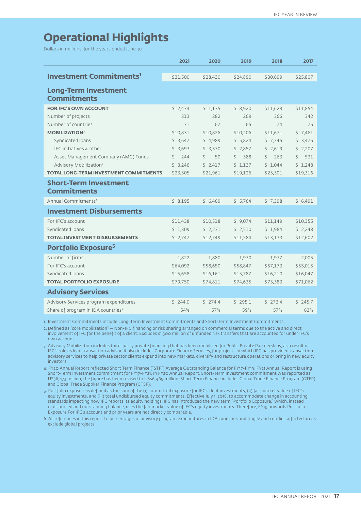# **Operational Highlights**

Dollars in millions, for the years ended June 30

|                                                   | 2021     | 2020     | 2019      | 2018      | 2017     |
|---------------------------------------------------|----------|----------|-----------|-----------|----------|
|                                                   |          |          |           |           |          |
| <b>Investment Commitments'</b>                    | \$31,500 | \$28,430 | \$24,890  | \$30,699  | \$25,807 |
|                                                   |          |          |           |           |          |
| <b>Long-Term Investment</b><br><b>Commitments</b> |          |          |           |           |          |
|                                                   |          |          |           |           |          |
| <b>FOR IFC'S OWN ACCOUNT</b>                      | \$12,474 | \$11,135 | \$8,920   | \$11,629  | \$11,854 |
| Number of projects                                | 313      | 282      | 269       | 366       | 342      |
| Number of countries                               | 71       | 67       | 65        | 74        | 75       |
| <b>MOBILIZATION<sup>2</sup></b>                   | \$10,831 | \$10,826 | \$10,206  | \$11,671  | \$7,461  |
| Syndicated loans                                  | \$3,647  | \$4,989  | 5.824     | \$7,745   | \$3,475  |
| IFC initiatives & other                           | \$3,693  | \$3,370  | \$2,857   | \$2,619   | \$2,207  |
| Asset Management Company (AMC) Funds              | Ś<br>244 | Ś.<br>50 | Ś.<br>388 | Ŝ.<br>263 | 531<br>Ś |
| Advisory Mobilization <sup>3</sup>                | \$3,246  | \$2,417  | \$1,137   | \$1,044   | \$1,248  |
| <b>TOTAL LONG-TERM INVESTMENT COMMITMENTS</b>     | \$23,305 | \$21,961 | \$19,126  | \$23,301  | \$19,316 |
| <b>Short-Term Investment</b>                      |          |          |           |           |          |
| <b>Commitments</b>                                |          |          |           |           |          |
| Annual Commitments <sup>4</sup>                   | \$8,195  | \$6,469  | \$5,764   | \$7,398   | \$6,491  |
| <b>Investment Disbursements</b>                   |          |          |           |           |          |
| For IFC's account                                 | \$11,438 | \$10,518 | \$9,074   | \$11,149  | \$10,355 |
| Syndicated loans                                  | \$1,309  | \$2,231  | \$2,510   | \$1,984   | \$2,248  |
| <b>TOTAL INVESTMENT DISBURSEMENTS</b>             | \$12,747 | \$12,749 | \$11,584  | \$13,133  | \$12,602 |
| Portfolio Exposure <sup>5</sup>                   |          |          |           |           |          |
| Number of firms                                   | 1,822    | 1,880    | 1,930     | 1,977     | 2,005    |
| For IFC's account                                 | \$64,092 | \$58,650 | \$58,847  | \$57,173  | \$55,015 |
| Syndicated loans                                  | \$15,658 | \$16,161 | \$15,787  | \$16,210  | \$16,047 |
| <b>TOTAL PORTFOLIO EXPOSURE</b>                   | \$79,750 | \$74,811 | \$74,635  | \$73,383  | \$71,062 |
| <b>Advisory Services</b>                          |          |          |           |           |          |
| Advisory Services program expenditures            | 5244.0   | 5274.4   | \$295.1   | 5273.4    | 5245.7   |
| Share of program in IDA countries <sup>6</sup>    | 54%      | 57%      | 59%       | 57%       | 63%      |

1. Investment Commitments include Long-Term Investment Commitments and Short-Term Investment Commitments.

2. Defined as "core mobilization" — Non-IFC financing or risk sharing arranged on commercial terms due to the active and direct involvement of IFC for the benefit of a client. Excludes \$1,300 million of unfunded risk transfers that are accounted for under IFC's own account.

3. Advisory Mobilization includes third-party private financing that has been mobilized for Public Private Partnerships, as a result of IFC's role as lead transaction advisor. It also includes Corporate Finance Services, for projects in which IFC has provided transaction advisory services to help private sector clients expand into new markets, diversify and restructure operations or bring in new equity investors.

4. FY20 Annual Report reflected Short Term Finance ("STF") Average Outstanding Balance for FY17-FY19. FY21 Annual Report is using Short-Term Investment commitment for FY17-FY21. In FY20 Annual Report, Short-Term Investment commitment was reported as US\$6,473 million, the figure has been revised to US\$6,469 million. Short-Term Finance includes Global Trade Finance Program (GTFP) and Global Trade Supplier Finance Program (GTSF).

5. Portfolio exposure is defined as the sum of the (i) committed exposure for IFC's debt investments, (ii) fair market value of IFC's equity investments, and (iii) total undisbursed equity commitments. Effective July 1, 2018, to accommodate change in accounting standards impacting how IFC reports its equity holdings, IFC has introduced the new term "Portfolio Exposure," which, instead of disbursed and outstanding balance, uses the fair market value of IFC's equity investments. Therefore, FY19 onwards Portfolio Exposure For IFC's account and prior years are not directly comparable.

6. All references in this report to percentages of advisory program expenditures in IDA countries and fragile and conflict-affected areas exclude global projects.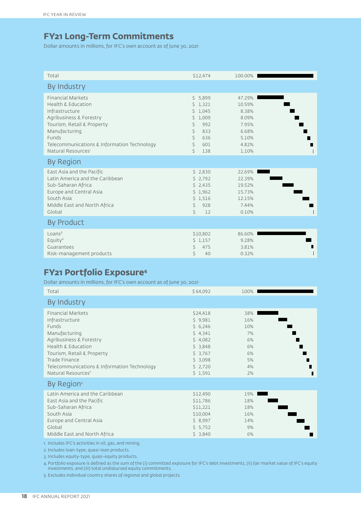## **FY21 Long-Term Commitments**

Dollar amounts in millions, for IFC's own account as of June 30, 2021

| Total                                                                                                                                                                                                                                           | \$12,474                                                                                             | 100.00%                                                                |  |
|-------------------------------------------------------------------------------------------------------------------------------------------------------------------------------------------------------------------------------------------------|------------------------------------------------------------------------------------------------------|------------------------------------------------------------------------|--|
|                                                                                                                                                                                                                                                 |                                                                                                      |                                                                        |  |
| By Industry                                                                                                                                                                                                                                     |                                                                                                      |                                                                        |  |
| <b>Financial Markets</b><br><b>Health &amp; Education</b><br>Infrastructure<br>Agribusiness & Forestry<br>Tourism, Retail & Property<br>Manufacturing<br>Funds<br>Telecommunications & Information Technology<br>Natural Resources <sup>1</sup> | \$5,899<br>1,321<br>Ś.<br>1,045<br>Ś.<br>\$1,009<br>\$<br>992<br>833<br>Ś.<br>Ś.<br>636<br>\$<br>601 | 47.29%<br>10.59%<br>8.38%<br>8.09%<br>7.95%<br>6.68%<br>5.10%<br>4.82% |  |
| <b>By Region</b>                                                                                                                                                                                                                                | Ś.<br>138                                                                                            | 1.10%                                                                  |  |
| East Asia and the Pacific<br>Latin America and the Caribbean<br>Sub-Saharan Africa<br>Europe and Central Asia<br>South Asia<br>Middle East and North Africa<br>Global                                                                           | \$2,830<br>\$2,792<br>\$2,435<br>\$1,962<br>\$1,516<br>Ś.<br>928<br>Ś.<br>12                         | 22.69%<br>22.39%<br>19.52%<br>15.73%<br>12.15%<br>7.44%<br>0.10%       |  |
| <b>By Product</b>                                                                                                                                                                                                                               |                                                                                                      |                                                                        |  |
| Loans <sup>2</sup><br>Equity $3$<br>Guarantees<br>Risk-management products                                                                                                                                                                      | \$10,802<br>\$1,157<br>475<br>Ś.<br>Ś<br>40                                                          | 86.60%<br>9.28%<br>3.81%<br>0.32%                                      |  |

## **FY21 Portfolio Exposure4**

Dollar amounts in millions, for IFC's own account as of June 30, 2021

| Total                                                                                                                                                                                                                                                            | \$64,092                                                                                                   | 100%                                                             |
|------------------------------------------------------------------------------------------------------------------------------------------------------------------------------------------------------------------------------------------------------------------|------------------------------------------------------------------------------------------------------------|------------------------------------------------------------------|
| By Industry                                                                                                                                                                                                                                                      |                                                                                                            |                                                                  |
| <b>Financial Markets</b><br>Infrastructure<br>Funds<br>Manufacturing<br>Agribusiness & Forestry<br><b>Health &amp; Education</b><br>Tourism, Retail & Property<br>Trade Finance<br>Telecommunications & Information Technology<br>Natural Resources <sup>1</sup> | \$24,418<br>\$9,981<br>56,246<br>\$4,341<br>\$4,082<br>\$3,848<br>\$3,767<br>\$3,098<br>\$2,720<br>\$1,591 | 38%<br>16%<br>10%<br>7%<br>6%<br>6%<br>6%<br>5%<br>П<br>4%<br>2% |
| By Region <sup>s</sup>                                                                                                                                                                                                                                           |                                                                                                            |                                                                  |
| Latin America and the Caribbean<br>East Asia and the Pacific<br>Sub-Saharan Africa<br>South Asia<br>Europe and Central Asia<br>Global<br>Middle East and North Africa                                                                                            | \$12,490<br>\$11,786<br>\$11,221<br>\$10,004<br>\$8,997<br>\$5,752<br>\$3,840                              | 19%<br>18%<br>18%<br>16%<br>14%<br>9%<br>6%                      |

1. Includes IFC's activities in oil, gas, and mining.

2. Includes loan-type, quasi-loan products.

3. Includes equity-type, quasi-equity products.

4.Portfolio exposure is defined as the sum of the (i) committed exposure for IFC's debt investments, (ii) fair market value of IFC's equity investments, and (iii) total undisbursed equity commitments.

5. Excludes individual country shares of regional and global projects.